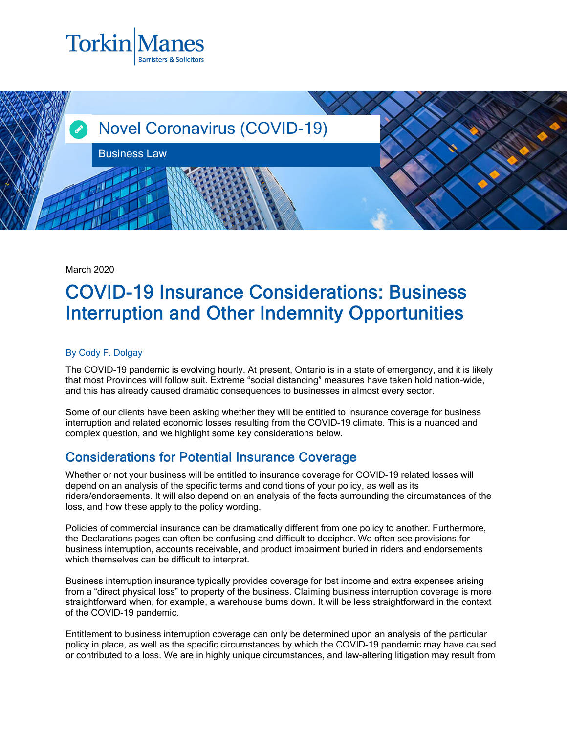



March 2020

## COVID-19 Insurance Considerations: Business Interruption and Other Indemnity Opportunities

## By Cody F. Dolgay

The COVID-19 pandemic is evolving hourly. At present, Ontario is in a state of emergency, and it is likely that most Provinces will follow suit. Extreme "social distancing" measures have taken hold nation-wide, and this has already caused dramatic consequences to businesses in almost every sector.

Some of our clients have been asking whether they will be entitled to insurance coverage for business interruption and related economic losses resulting from the COVID-19 climate. This is a nuanced and complex question, and we highlight some key considerations below.

## Considerations for Potential Insurance Coverage

Whether or not your business will be entitled to insurance coverage for COVID-19 related losses will depend on an analysis of the specific terms and conditions of your policy, as well as its riders/endorsements. It will also depend on an analysis of the facts surrounding the circumstances of the loss, and how these apply to the policy wording.

Policies of commercial insurance can be dramatically different from one policy to another. Furthermore, the Declarations pages can often be confusing and difficult to decipher. We often see provisions for business interruption, accounts receivable, and product impairment buried in riders and endorsements which themselves can be difficult to interpret.

Business interruption insurance typically provides coverage for lost income and extra expenses arising from a "direct physical loss" to property of the business. Claiming business interruption coverage is more straightforward when, for example, a warehouse burns down. It will be less straightforward in the context of the COVID-19 pandemic.

Entitlement to business interruption coverage can only be determined upon an analysis of the particular policy in place, as well as the specific circumstances by which the COVID-19 pandemic may have caused or contributed to a loss. We are in highly unique circumstances, and law-altering litigation may result from